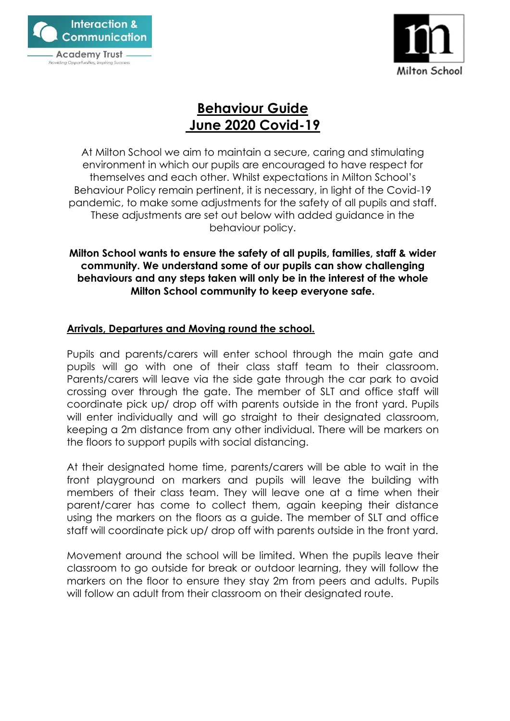



# **Behaviour Guide June 2020 Covid-19**

At Milton School we aim to maintain a secure, caring and stimulating environment in which our pupils are encouraged to have respect for themselves and each other. Whilst expectations in Milton School's Behaviour Policy remain pertinent, it is necessary, in light of the Covid-19 pandemic, to make some adjustments for the safety of all pupils and staff. These adjustments are set out below with added guidance in the behaviour policy.

### **Milton School wants to ensure the safety of all pupils, families, staff & wider community. We understand some of our pupils can show challenging behaviours and any steps taken will only be in the interest of the whole Milton School community to keep everyone safe.**

# **Arrivals, Departures and Moving round the school.**

Pupils and parents/carers will enter school through the main gate and pupils will go with one of their class staff team to their classroom. Parents/carers will leave via the side gate through the car park to avoid crossing over through the gate. The member of SLT and office staff will coordinate pick up/ drop off with parents outside in the front yard. Pupils will enter individually and will go straight to their designated classroom, keeping a 2m distance from any other individual. There will be markers on the floors to support pupils with social distancing.

At their designated home time, parents/carers will be able to wait in the front playground on markers and pupils will leave the building with members of their class team. They will leave one at a time when their parent/carer has come to collect them, again keeping their distance using the markers on the floors as a guide. The member of SLT and office staff will coordinate pick up/ drop off with parents outside in the front yard.

Movement around the school will be limited. When the pupils leave their classroom to go outside for break or outdoor learning, they will follow the markers on the floor to ensure they stay 2m from peers and adults. Pupils will follow an adult from their classroom on their designated route.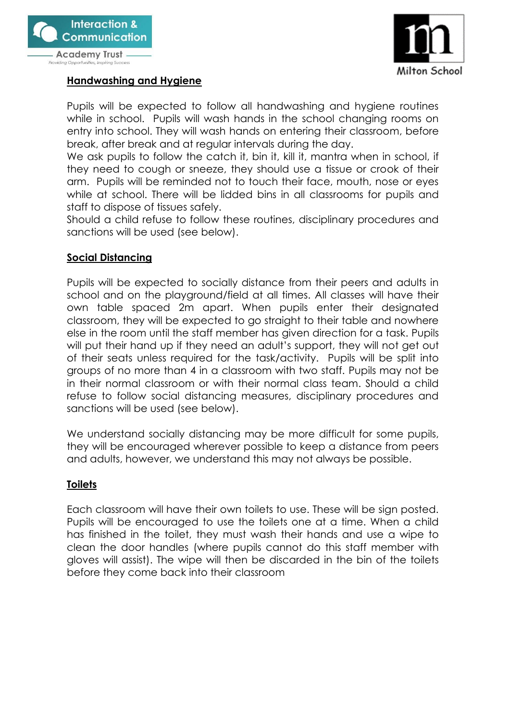



**Providing Opportunities, Inspiring Success** 

# **Handwashing and Hygiene**

Pupils will be expected to follow all handwashing and hygiene routines while in school. Pupils will wash hands in the school changing rooms on entry into school. They will wash hands on entering their classroom, before break, after break and at regular intervals during the day.

We ask pupils to follow the catch it, bin it, kill it, mantra when in school, if they need to cough or sneeze, they should use a tissue or crook of their arm. Pupils will be reminded not to touch their face, mouth, nose or eyes while at school. There will be lidded bins in all classrooms for pupils and staff to dispose of tissues safely.

Should a child refuse to follow these routines, disciplinary procedures and sanctions will be used (see below).

# **Social Distancing**

Pupils will be expected to socially distance from their peers and adults in school and on the playground/field at all times. All classes will have their own table spaced 2m apart. When pupils enter their designated classroom, they will be expected to go straight to their table and nowhere else in the room until the staff member has given direction for a task. Pupils will put their hand up if they need an adult's support, they will not get out of their seats unless required for the task/activity. Pupils will be split into groups of no more than 4 in a classroom with two staff. Pupils may not be in their normal classroom or with their normal class team. Should a child refuse to follow social distancing measures, disciplinary procedures and sanctions will be used (see below).

We understand socially distancing may be more difficult for some pupils, they will be encouraged wherever possible to keep a distance from peers and adults, however, we understand this may not always be possible.

# **Toilets**

Each classroom will have their own toilets to use. These will be sign posted. Pupils will be encouraged to use the toilets one at a time. When a child has finished in the toilet, they must wash their hands and use a wipe to clean the door handles (where pupils cannot do this staff member with gloves will assist). The wipe will then be discarded in the bin of the toilets before they come back into their classroom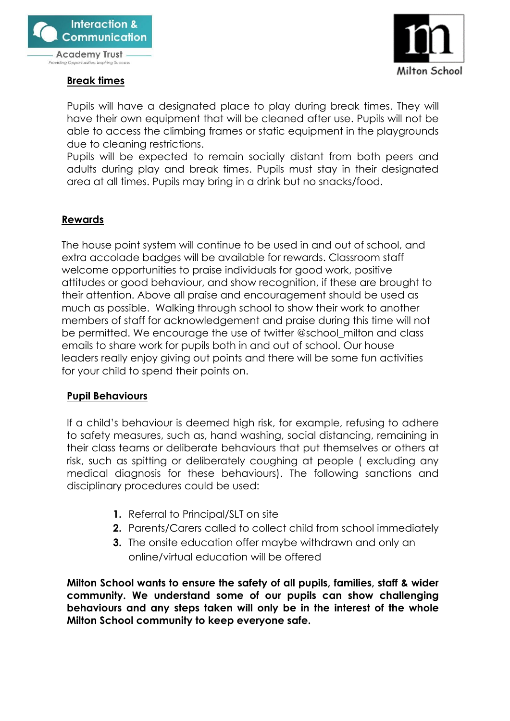

**Providing Opportunities, Inspiring Success** 

#### **Break times**



Pupils will have a designated place to play during break times. They will have their own equipment that will be cleaned after use. Pupils will not be able to access the climbing frames or static equipment in the playgrounds due to cleaning restrictions.

Pupils will be expected to remain socially distant from both peers and adults during play and break times. Pupils must stay in their designated area at all times. Pupils may bring in a drink but no snacks/food.

# **Rewards**

The house point system will continue to be used in and out of school, and extra accolade badges will be available for rewards. Classroom staff welcome opportunities to praise individuals for good work, positive attitudes or good behaviour, and show recognition, if these are brought to their attention. Above all praise and encouragement should be used as much as possible. Walking through school to show their work to another members of staff for acknowledgement and praise during this time will not be permitted. We encourage the use of twitter @school\_milton and class emails to share work for pupils both in and out of school. Our house leaders really enjoy giving out points and there will be some fun activities for your child to spend their points on.

#### **Pupil Behaviours**

If a child's behaviour is deemed high risk, for example, refusing to adhere to safety measures, such as, hand washing, social distancing, remaining in their class teams or deliberate behaviours that put themselves or others at risk, such as spitting or deliberately coughing at people ( excluding any medical diagnosis for these behaviours). The following sanctions and disciplinary procedures could be used:

- **1.** Referral to Principal/SLT on site
- **2.** Parents/Carers called to collect child from school immediately
- **3.** The onsite education offer maybe withdrawn and only an online/virtual education will be offered

**Milton School wants to ensure the safety of all pupils, families, staff & wider community. We understand some of our pupils can show challenging behaviours and any steps taken will only be in the interest of the whole Milton School community to keep everyone safe.**